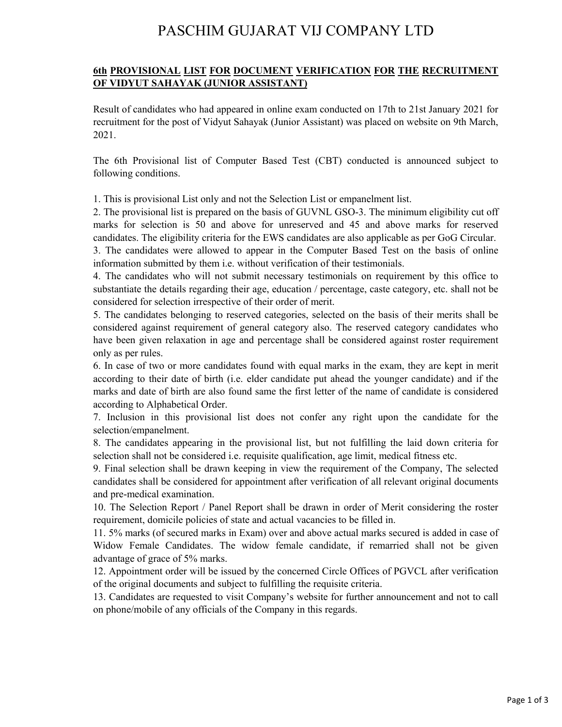## PASCHIM GUJARAT VIJ COMPANY LTD

## **6th PROVISIONAL LIST FOR DOCUMENT VERIFICATION FOR THE RECRUITMENT OF VIDYUT SAHAYAK (JUNIOR ASSISTANT)**

Result of candidates who had appeared in online exam conducted on 17th to 21st January 2021 for recruitment for the post of Vidyut Sahayak (Junior Assistant) was placed on website on 9th March, 2021.

The 6th Provisional list of Computer Based Test (CBT) conducted is announced subject to following conditions.

1. This is provisional List only and not the Selection List or empanelment list.

2. The provisional list is prepared on the basis of GUVNL GSO-3. The minimum eligibility cut off marks for selection is 50 and above for unreserved and 45 and above marks for reserved candidates. The eligibility criteria for the EWS candidates are also applicable as per GoG Circular.

3. The candidates were allowed to appear in the Computer Based Test on the basis of online information submitted by them i.e. without verification of their testimonials.

4. The candidates who will not submit necessary testimonials on requirement by this office to substantiate the details regarding their age, education / percentage, caste category, etc. shall not be considered for selection irrespective of their order of merit.

5. The candidates belonging to reserved categories, selected on the basis of their merits shall be considered against requirement of general category also. The reserved category candidates who have been given relaxation in age and percentage shall be considered against roster requirement only as per rules.

6. In case of two or more candidates found with equal marks in the exam, they are kept in merit according to their date of birth (i.e. elder candidate put ahead the younger candidate) and if the marks and date of birth are also found same the first letter of the name of candidate is considered according to Alphabetical Order.

7. Inclusion in this provisional list does not confer any right upon the candidate for the selection/empanelment.

8. The candidates appearing in the provisional list, but not fulfilling the laid down criteria for selection shall not be considered i.e. requisite qualification, age limit, medical fitness etc.

9. Final selection shall be drawn keeping in view the requirement of the Company, The selected candidates shall be considered for appointment after verification of all relevant original documents and pre-medical examination.

10. The Selection Report / Panel Report shall be drawn in order of Merit considering the roster requirement, domicile policies of state and actual vacancies to be filled in.

11. 5% marks (of secured marks in Exam) over and above actual marks secured is added in case of Widow Female Candidates. The widow female candidate, if remarried shall not be given advantage of grace of 5% marks.

12. Appointment order will be issued by the concerned Circle Offices of PGVCL after verification of the original documents and subject to fulfilling the requisite criteria.

13. Candidates are requested to visit Company's website for further announcement and not to call on phone/mobile of any officials of the Company in this regards.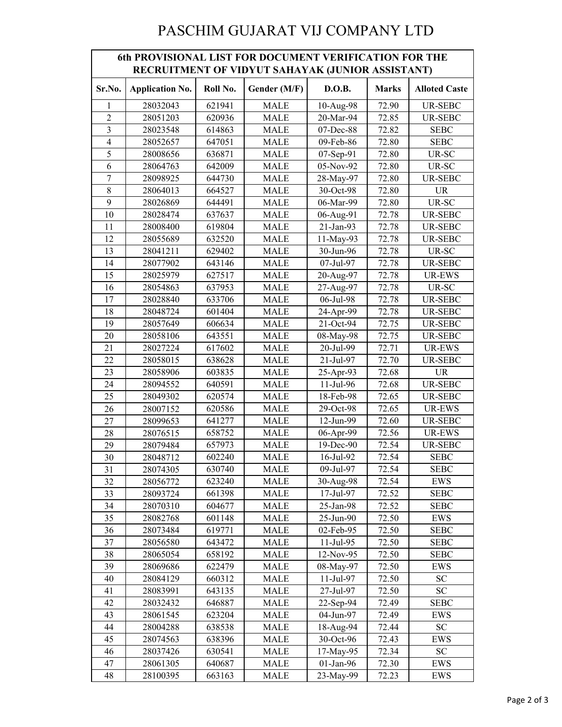## PASCHIM GUJARAT VIJ COMPANY LTD

| <b>6th PROVISIONAL LIST FOR DOCUMENT VERIFICATION FOR THE</b><br>RECRUITMENT OF VIDYUT SAHAYAK (JUNIOR ASSISTANT) |                        |          |              |              |              |                      |  |  |  |
|-------------------------------------------------------------------------------------------------------------------|------------------------|----------|--------------|--------------|--------------|----------------------|--|--|--|
| Sr.No.                                                                                                            | <b>Application No.</b> | Roll No. | Gender (M/F) | D.O.B.       | <b>Marks</b> | <b>Alloted Caste</b> |  |  |  |
| 1                                                                                                                 | 28032043               | 621941   | <b>MALE</b>  | 10-Aug-98    | 72.90        | UR-SEBC              |  |  |  |
| $\overline{c}$                                                                                                    | 28051203               | 620936   | <b>MALE</b>  | 20-Mar-94    | 72.85        | <b>UR-SEBC</b>       |  |  |  |
| $\mathfrak{Z}$                                                                                                    | 28023548               | 614863   | <b>MALE</b>  | 07-Dec-88    | 72.82        | <b>SEBC</b>          |  |  |  |
| $\overline{4}$                                                                                                    | 28052657               | 647051   | <b>MALE</b>  | 09-Feb-86    | 72.80        | <b>SEBC</b>          |  |  |  |
| 5                                                                                                                 | 28008656               | 636871   | <b>MALE</b>  | 07-Sep-91    | 72.80        | UR-SC                |  |  |  |
| 6                                                                                                                 | 28064763               | 642009   | <b>MALE</b>  | 05-Nov-92    | 72.80        | UR-SC                |  |  |  |
| $\overline{7}$                                                                                                    | 28098925               | 644730   | <b>MALE</b>  | 28-May-97    | 72.80        | UR-SEBC              |  |  |  |
| $\,8\,$                                                                                                           | 28064013               | 664527   | <b>MALE</b>  | 30-Oct-98    | 72.80        | <b>UR</b>            |  |  |  |
| 9                                                                                                                 | 28026869               | 644491   | <b>MALE</b>  | 06-Mar-99    | 72.80        | UR-SC                |  |  |  |
| 10                                                                                                                | 28028474               | 637637   | <b>MALE</b>  | 06-Aug-91    | 72.78        | <b>UR-SEBC</b>       |  |  |  |
| 11                                                                                                                | 28008400               | 619804   | <b>MALE</b>  | 21-Jan-93    | 72.78        | UR-SEBC              |  |  |  |
| 12                                                                                                                | 28055689               | 632520   | <b>MALE</b>  | 11-May-93    | 72.78        | UR-SEBC              |  |  |  |
| 13                                                                                                                | 28041211               | 629402   | <b>MALE</b>  | 30-Jun-96    | 72.78        | UR-SC                |  |  |  |
| 14                                                                                                                | 28077902               | 643146   | <b>MALE</b>  | 07-Jul-97    | 72.78        | <b>UR-SEBC</b>       |  |  |  |
| 15                                                                                                                | 28025979               | 627517   | <b>MALE</b>  | 20-Aug-97    | 72.78        | UR-EWS               |  |  |  |
| 16                                                                                                                | 28054863               | 637953   | <b>MALE</b>  | 27-Aug-97    | 72.78        | UR-SC                |  |  |  |
| 17                                                                                                                | 28028840               | 633706   | <b>MALE</b>  | 06-Jul-98    | 72.78        | UR-SEBC              |  |  |  |
| 18                                                                                                                | 28048724               | 601404   | MALE         | 24-Apr-99    | 72.78        | UR-SEBC              |  |  |  |
| 19                                                                                                                | 28057649               | 606634   | <b>MALE</b>  | 21-Oct-94    | 72.75        | <b>UR-SEBC</b>       |  |  |  |
| 20                                                                                                                | 28058106               | 643551   | <b>MALE</b>  | 08-May-98    | 72.75        | <b>UR-SEBC</b>       |  |  |  |
| 21                                                                                                                | 28027224               | 617602   | <b>MALE</b>  | 20-Jul-99    | 72.71        | UR-EWS               |  |  |  |
| 22                                                                                                                | 28058015               | 638628   | <b>MALE</b>  | 21-Jul-97    | 72.70        | <b>UR-SEBC</b>       |  |  |  |
| 23                                                                                                                | 28058906               | 603835   | MALE         | 25-Apr-93    | 72.68        | <b>UR</b>            |  |  |  |
| 24                                                                                                                | 28094552               | 640591   | <b>MALE</b>  | 11-Jul-96    | 72.68        | <b>UR-SEBC</b>       |  |  |  |
| 25                                                                                                                | 28049302               | 620574   | <b>MALE</b>  | 18-Feb-98    | 72.65        | <b>UR-SEBC</b>       |  |  |  |
| 26                                                                                                                | 28007152               | 620586   | <b>MALE</b>  | 29-Oct-98    | 72.65        | <b>UR-EWS</b>        |  |  |  |
| 27                                                                                                                | 28099653               | 641277   | <b>MALE</b>  | 12-Jun-99    | 72.60        | UR-SEBC              |  |  |  |
| 28                                                                                                                | 28076515               | 658752   | MALE         | 06-Apr-99    | 72.56        | UR-EWS               |  |  |  |
| 29                                                                                                                | 28079484               | 657973   | <b>MALE</b>  | 19-Dec-90    | 72.54        | <b>UR-SEBC</b>       |  |  |  |
| 30                                                                                                                | 28048712               | 602240   | <b>MALE</b>  | 16-Jul-92    | 72.54        | <b>SEBC</b>          |  |  |  |
| 31                                                                                                                | 28074305               | 630740   | MALE         | 09-Jul-97    | 72.54        | <b>SEBC</b>          |  |  |  |
| 32                                                                                                                | 28056772               | 623240   | MALE         | 30-Aug-98    | 72.54        | EWS                  |  |  |  |
| 33                                                                                                                | 28093724               | 661398   | MALE         | 17-Jul-97    | 72.52        | <b>SEBC</b>          |  |  |  |
| 34                                                                                                                | 28070310               | 604677   | <b>MALE</b>  | 25-Jan-98    | 72.52        | <b>SEBC</b>          |  |  |  |
| 35                                                                                                                | 28082768               | 601148   | MALE         | 25-Jun-90    | 72.50        | EWS                  |  |  |  |
| 36                                                                                                                | 28073484               | 619771   | MALE         | 02-Feb-95    | 72.50        | <b>SEBC</b>          |  |  |  |
| 37                                                                                                                | 28056580               | 643472   | MALE         | $11$ -Jul-95 | 72.50        | SEBC                 |  |  |  |
| 38                                                                                                                | 28065054               | 658192   | MALE         | 12-Nov-95    | 72.50        | <b>SEBC</b>          |  |  |  |
| 39                                                                                                                | 28069686               | 622479   | <b>MALE</b>  | 08-May-97    | 72.50        | EWS                  |  |  |  |
| 40                                                                                                                | 28084129               | 660312   | MALE         | $11$ -Jul-97 | 72.50        | <b>SC</b>            |  |  |  |
| 41                                                                                                                | 28083991               | 643135   | MALE         | 27-Jul-97    | 72.50        | ${\rm SC}$           |  |  |  |
| 42                                                                                                                | 28032432               | 646887   | MALE         | 22-Sep-94    | 72.49        | SEBC                 |  |  |  |
| 43                                                                                                                | 28061545               | 623204   | MALE         | 04-Jun-97    | 72.49        | EWS                  |  |  |  |
| 44                                                                                                                | 28004288               | 638538   | <b>MALE</b>  | 18-Aug-94    | 72.44        | SC <sub>1</sub>      |  |  |  |
| 45                                                                                                                | 28074563               | 638396   | MALE         | 30-Oct-96    | 72.43        | EWS                  |  |  |  |
| 46                                                                                                                | 28037426               | 630541   | MALE         | 17-May-95    | 72.34        | ${\rm SC}$           |  |  |  |
| 47                                                                                                                | 28061305               | 640687   | MALE         | 01-Jan-96    | 72.30        | EWS                  |  |  |  |
| 48                                                                                                                | 28100395               | 663163   | MALE         | 23-May-99    | 72.23        | EWS                  |  |  |  |